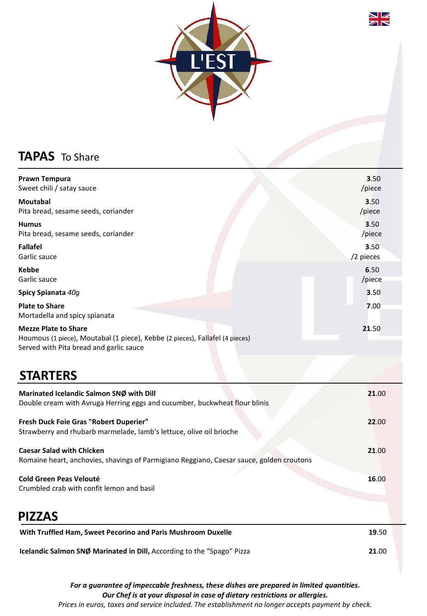



## **TAPAS** To Share

| Prawn Tempura<br>Sweet chili / satay sauce                                                                                                             | 3.50<br>/piece    |
|--------------------------------------------------------------------------------------------------------------------------------------------------------|-------------------|
| <b>Moutabal</b><br>Pita bread, sesame seeds, coriander                                                                                                 | 3.50<br>/piece    |
| <b>Humus</b><br>Pita bread, sesame seeds, coriander                                                                                                    | 3.50<br>/piece    |
| <b>Fallafel</b><br>Garlic sauce                                                                                                                        | 3.50<br>/2 pieces |
| <b>Kebbe</b><br>Garlic sauce                                                                                                                           | 6.50<br>/piece    |
| Spicy Spianata 40g                                                                                                                                     | 3.50              |
| <b>Plate to Share</b><br>Mortadella and spicy spianata                                                                                                 | 7.00              |
| <b>Mezze Plate to Share</b><br>Houmous (1 piece), Moutabal (1 piece), Kebbe (2 pieces), Fallafel (4 pieces)<br>Served with Pita bread and garlic sauce | 21.50             |
| <b>STARTERS</b>                                                                                                                                        |                   |
| Marinated Icelandic Salmon SNØ with Dill<br>Double cream with Avruga Herring eggs and cucumber, buckwheat flour blinis                                 | 21.00             |
| Fresh Duck Foie Gras "Robert Duperier"<br>Strawberry and rhubarb marmelade, lamb's lettuce, olive oil brioche                                          | 22.00             |
| <b>Caesar Salad with Chicken</b><br>Romaine heart, anchovies, shavings of Parmigiano Reggiano, Caesar sauce, golden croutons                           | 21.00             |
| <b>Cold Green Peas Velouté</b><br>Crumbled crab with confit lemon and basil                                                                            | 16.00             |
| <b>PIZZAS</b>                                                                                                                                          |                   |
| With Truffled Ham, Sweet Pecorino and Paris Mushroom Duxelle                                                                                           | 19.50             |
| Icelandic Salmon SNØ Marinated in Dill, According to the "Spago" Pizza                                                                                 | 21.00             |

*For a guarantee of impeccable freshness, these dishes are prepared in limited quantities. Our Chef is at your disposal in case of dietary restrictions or allergies. Prices in euros, taxes and service included. The establishment no longer accepts payment by check.*